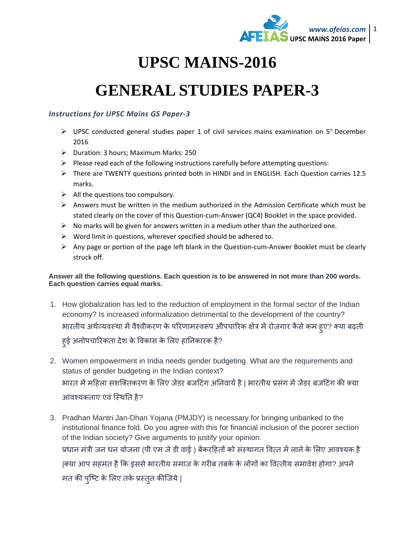

## **UPSC MAINS-2016**

## **GENERAL STUDIES PAPER-3**

## *Instructions for UPSC Mains GS Paper-3*

- $\triangleright$  UPSC conducted general studies paper 1 of civil services mains examination on 5<sup>th</sup> December 2016
- Duration: 3 hours; Maximum Marks: 250
- $\triangleright$  Please read each of the following instructions carefully before attempting questions:
- There are TWENTY questions printed both in HINDI and in ENGLISH. Each Question carries 12.5 marks.
- $\triangleright$  All the questions too compulsory.
- $\triangleright$  Answers must be written in the medium authorized in the Admission Certificate which must be stated clearly on the cover of this Question-cum-Answer (QC4) Booklet in the space provided.
- $\triangleright$  No marks will be given for answers written in a medium other than the authorized one.
- $\triangleright$  Word limit in questions, wherever specified should be adhered to.
- $\triangleright$  Any page or portion of the page left blank in the Question-cum-Answer Booklet must be clearly struck off.

## **Answer all the following questions. Each question is to be answered in not more than 200 words. Each question carries equal marks.**

- 1. How globalization has led to the reduction of employment in the formal sector of the Indian economy? Is increased informalization detrimental to the development of the country? भारतीय अर्थव्यवस्था में वैश्वीकरण के परिणामस्वरूप औपचारिक क्षेत्र में रोजगार कैसे कम हुए? क्या बढ़ती हु ई अनोपचािरकता देश के िवकास के िलए हािनकारक है?
- 2. Women empowerment in India needs gender budgeting. What are the requirements and status of gender budgeting in the Indian context? भारत में महिला सशक्तिकरण के लिए जेंडर बजटिंग अनिवार्य है | भारतीय प्रसंग में जेंडर बजटिंग की क्या आवश्यकताए एवं स्थिति है?
- 3. Pradhan Mantri Jan-Dhan Yojana (PMJDY) is necessary for bringing unbanked to the institutional finance fold. Do you agree with this for financial inclusion of the poorer section of the Indian society? Give arguments to justify your opinion. प्रधान मंत्री जन धन योजना (पी एम जे डी वाई ) बेंकरहितों को संस्थागत वित्त में लाने के लिए आवश्यक है |क्या आप सहमत है कि इससे भारतीय समाज के गरीब तबके के लोंगों का वित्तीय समावेश होगा? अपने मत की पुष्टि के लिए तके प्रस्तुत कीजिये |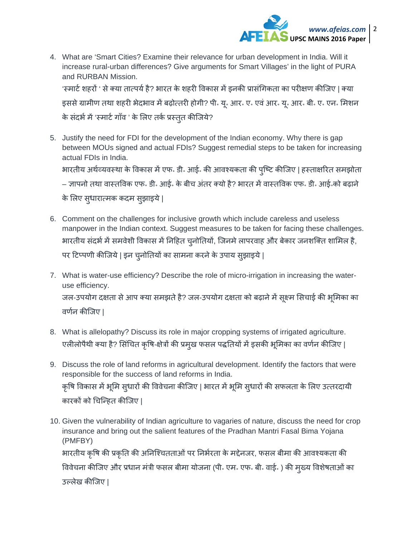

4. What are 'Smart Cities? Examine their relevance for urban development in India. Will it increase rural-urban differences? Give arguments for Smart Villages' in the light of PURA and RURBAN Mission.

'स्मार्ट शहरों ' से क्या तात्पर्य है? भारत के शहरी विकास में इनकी प्रासंगिकता का परीक्षण कीजिए | क्या इससे ग्रामीण तथा शहरी भेदभाव में बढ़ोत्तरी होगी? पी॰ यू॰ आर॰ ए॰ एवं आर॰ यू॰ आर॰ बी॰ ए॰ एन॰ मिशन के संदर्भ में 'स्मार्ट गाँव ' के लिए तके प्रस्तुत कीजिये?

5. Justify the need for FDI for the development of the Indian economy. Why there is gap between MOUs signed and actual FDIs? Suggest remedial steps to be taken for increasing actual FDIs in India.

भारतीय अर्थव्यवस्था के विकास में एफ॰ डी॰ आई॰ की आवश्यकता की पुष्टि कीजिए | हस्ताक्षरित समझोता

– ज्ञापनो तथा वास्तविक एफ॰ डी॰ आई॰ के बीच अंतर क्यो है? भारत में वास्तविक एफ॰ डी॰ आई॰को बढ़ाने

के लिए सुधारात्मक कदम सुझाइये |

- 6. Comment on the challenges for inclusive growth which include careless and useless manpower in the Indian context. Suggest measures to be taken for facing these challenges. भारतीय संदर्भ में समवेशी विकास में निहित चुनोतियों, जिनमे लापरवाह और बेकार जनशक्ति शामिल है, पर टिप्पणी कीजिये | इन चुनोतियों का सामना करने के उपाय सुझाइये |
- 7. What is water-use efficiency? Describe the role of micro-irrigation in increasing the wateruse efficiency. जल-उपयोग दक्षता से आप क्या समझते है? जल-उपयोग दक्षता को बढ़ाने में सूक्ष्म सिचाई की भूमिका का वणनर् कीिजए |
- 8. What is allelopathy? Discuss its role in major cropping systems of irrigated agriculture. एलीलोपैथी क्या है? सिचित कृषि-क्षेत्रों की प्रमुख फसल पद्धतियों में इसकी भूमिका का वर्णन कीजिए |
- 9. Discuss the role of land reforms in agricultural development. Identify the factors that were responsible for the success of land reforms in India. कृषि विकास में भूमि सुधारों की विवेचना कीजिए | भारत में भूमि सुधारों की सफलता के लिए उत्तरदायी कारकों को चिन्हित कीजिए |
- 10. Given the vulnerability of Indian agriculture to vagaries of nature, discuss the need for crop insurance and bring out the salient features of the Pradhan Mantri Fasal Bima Yojana (PMFBY) भारतीय कृषि की प्रकृति की अनिश्चितताओं पर निर्भरता के मद्देनजर, फसल बीमा की आवश्यकता की विवेचना कीजिए और प्रधान मंत्री फसल बीमा योजना (पी॰ एम॰ एफ॰ बी॰ वाई॰ ) की मुख्य विशेषताओं का उãलेख कीिजए |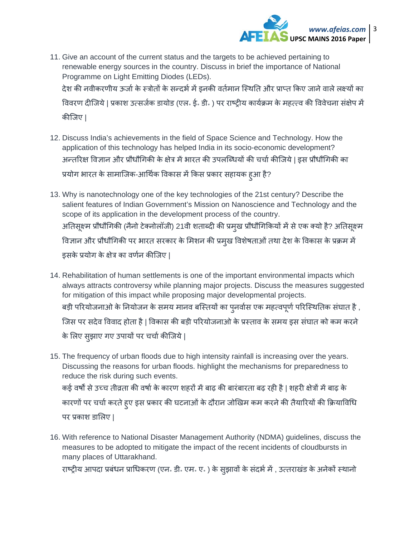

- 11. Give an account of the current status and the targets to be achieved pertaining to renewable energy sources in the country. Discuss in brief the importance of National Programme on Light Emitting Diodes (LEDs). देश की नवीकरणीय ऊर्जा के स्त्रोतों के सन्दर्भ में इनकी वर्तमान स्थिति और प्राप्त किए जाने वाले लक्ष्यों का विवरण दीजिये | प्रकाश उत्सर्जक डायोड (एल॰ ई॰ डी॰ ) पर राष्ट्रीय कार्यक्रम के महत्त्व की विवेचना संक्षेप में कीिजए |
- 12. Discuss India's achievements in the field of Space Science and Technology. How the application of this technology has helped India in its socio-economic development? अन्तरिक्ष विज्ञान और प्रौधौगिकी के क्षेत्र में भारत की उपलब्धियों की चर्चा कीजिये | इस प्रौधौगिकी का प्रयोग भारत के सामाजिक-आर्थिक विकास में किस प्रकार सहायक हुआ है?
- 13. Why is nanotechnology one of the key technologies of the 21st century? Describe the salient features of Indian Government's Mission on Nanoscience and Technology and the scope of its application in the development process of the country. अतिसूक्ष्म प्रौधौगिकी (नैनो टेक्नोलॉजी) 21वी शताब्दी की प्रमुख प्रौधौगिकियों में से एक क्यो है? अतिसूक्ष्म विज्ञान और प्रौधौगिकी पर भारत सरकार के मिशन की प्रमुख विशेषताओं तथा देश के विकास के प्रक्रम मे इसके प्रयोग के क्षेत्र का वर्णन कीजिए |
- 14. Rehabilitation of human settlements is one of the important environmental impacts which always attracts controversy while planning major projects. Discuss the measures suggested for mitigation of this impact while proposing major developmental projects. बड़ी परियोजनाओं के नियोजन के समय मानव बस्तियों का पुनवोस एक महत्वपूर्ण परिस्थितिक संघात है , िजस पर सदेव िववाद होता है | िवकास की बड़ी पिरयोजनाओ के प्रèताव के समय इस संघात को कम करने के लिए सुझाए गए उपायों पर चचो कीजिये |
- 15. The frequency of urban floods due to high intensity rainfall is increasing over the years. Discussing the reasons for urban floods. highlight the mechanisms for preparedness to reduce the risk during such events. कई वर्षों से उच्च तीव्रता की वर्षा के कारण शहरों में बाढ़ की बारंबारता बढ़ रही है | शहरी क्षेत्रों में बाढ़ के कारणों पर चर्चा करते हुए इस प्रकार की घटनाओं के दौरान जोखिम कम करने की तैयारियों की क्रियाविधि पर प्रकाश डािलए |
- 16. With reference to National Disaster Management Authority (NDMA) guidelines, discuss the measures to be adopted to mitigate the impact of the recent incidents of cloudbursts in many places of Uttarakhand.

राष्ट्रीय आपदा प्रबंधन प्राधिकरण (एन॰ डी॰ एम॰ ए॰ ) के सुझावों के संदर्भ में , उत्तराखंड के अनेकों स्थानो